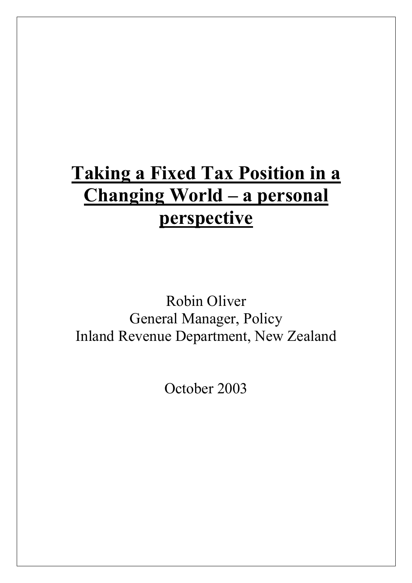# **Taking a Fixed Tax Position in a Changing World – a personal perspective**

Robin Oliver General Manager, Policy Inland Revenue Department, New Zealand

October 2003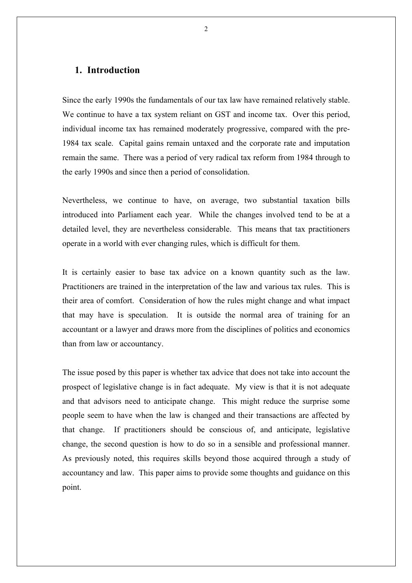### **1. Introduction**

Since the early 1990s the fundamentals of our tax law have remained relatively stable. We continue to have a tax system reliant on GST and income tax. Over this period, individual income tax has remained moderately progressive, compared with the pre-1984 tax scale. Capital gains remain untaxed and the corporate rate and imputation remain the same. There was a period of very radical tax reform from 1984 through to the early 1990s and since then a period of consolidation.

Nevertheless, we continue to have, on average, two substantial taxation bills introduced into Parliament each year. While the changes involved tend to be at a detailed level, they are nevertheless considerable. This means that tax practitioners operate in a world with ever changing rules, which is difficult for them.

It is certainly easier to base tax advice on a known quantity such as the law. Practitioners are trained in the interpretation of the law and various tax rules. This is their area of comfort. Consideration of how the rules might change and what impact that may have is speculation. It is outside the normal area of training for an accountant or a lawyer and draws more from the disciplines of politics and economics than from law or accountancy.

The issue posed by this paper is whether tax advice that does not take into account the prospect of legislative change is in fact adequate. My view is that it is not adequate and that advisors need to anticipate change. This might reduce the surprise some people seem to have when the law is changed and their transactions are affected by that change. If practitioners should be conscious of, and anticipate, legislative change, the second question is how to do so in a sensible and professional manner. As previously noted, this requires skills beyond those acquired through a study of accountancy and law. This paper aims to provide some thoughts and guidance on this point.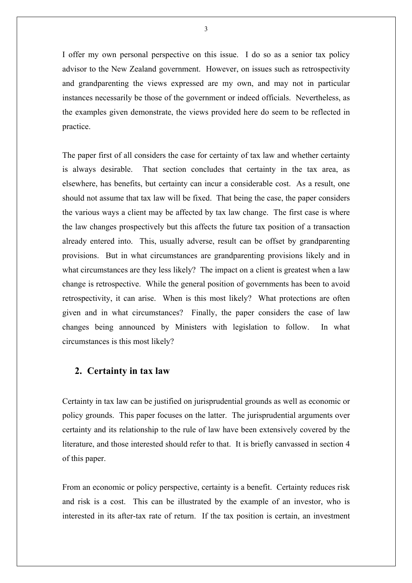I offer my own personal perspective on this issue. I do so as a senior tax policy advisor to the New Zealand government. However, on issues such as retrospectivity and grandparenting the views expressed are my own, and may not in particular instances necessarily be those of the government or indeed officials. Nevertheless, as the examples given demonstrate, the views provided here do seem to be reflected in practice.

The paper first of all considers the case for certainty of tax law and whether certainty is always desirable. That section concludes that certainty in the tax area, as elsewhere, has benefits, but certainty can incur a considerable cost. As a result, one should not assume that tax law will be fixed. That being the case, the paper considers the various ways a client may be affected by tax law change. The first case is where the law changes prospectively but this affects the future tax position of a transaction already entered into. This, usually adverse, result can be offset by grandparenting provisions. But in what circumstances are grandparenting provisions likely and in what circumstances are they less likely? The impact on a client is greatest when a law change is retrospective. While the general position of governments has been to avoid retrospectivity, it can arise. When is this most likely? What protections are often given and in what circumstances? Finally, the paper considers the case of law changes being announced by Ministers with legislation to follow. In what circumstances is this most likely?

#### **2. Certainty in tax law**

Certainty in tax law can be justified on jurisprudential grounds as well as economic or policy grounds. This paper focuses on the latter. The jurisprudential arguments over certainty and its relationship to the rule of law have been extensively covered by the literature, and those interested should refer to that. It is briefly canvassed in section 4 of this paper.

From an economic or policy perspective, certainty is a benefit. Certainty reduces risk and risk is a cost. This can be illustrated by the example of an investor, who is interested in its after-tax rate of return. If the tax position is certain, an investment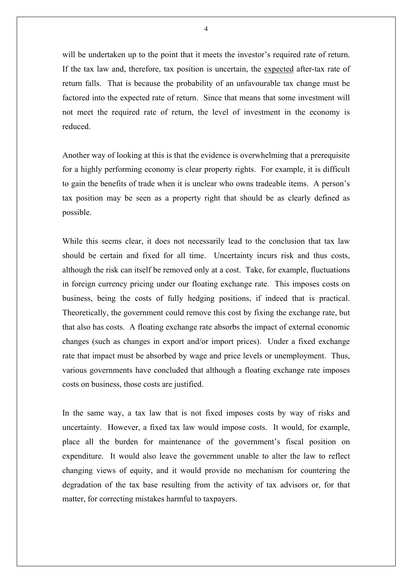will be undertaken up to the point that it meets the investor's required rate of return. If the tax law and, therefore, tax position is uncertain, the expected after-tax rate of return falls. That is because the probability of an unfavourable tax change must be factored into the expected rate of return. Since that means that some investment will not meet the required rate of return, the level of investment in the economy is reduced.

Another way of looking at this is that the evidence is overwhelming that a prerequisite for a highly performing economy is clear property rights. For example, it is difficult to gain the benefits of trade when it is unclear who owns tradeable items. A person's tax position may be seen as a property right that should be as clearly defined as possible.

While this seems clear, it does not necessarily lead to the conclusion that tax law should be certain and fixed for all time. Uncertainty incurs risk and thus costs, although the risk can itself be removed only at a cost. Take, for example, fluctuations in foreign currency pricing under our floating exchange rate. This imposes costs on business, being the costs of fully hedging positions, if indeed that is practical. Theoretically, the government could remove this cost by fixing the exchange rate, but that also has costs. A floating exchange rate absorbs the impact of external economic changes (such as changes in export and/or import prices). Under a fixed exchange rate that impact must be absorbed by wage and price levels or unemployment. Thus, various governments have concluded that although a floating exchange rate imposes costs on business, those costs are justified.

In the same way, a tax law that is not fixed imposes costs by way of risks and uncertainty. However, a fixed tax law would impose costs. It would, for example, place all the burden for maintenance of the government's fiscal position on expenditure. It would also leave the government unable to alter the law to reflect changing views of equity, and it would provide no mechanism for countering the degradation of the tax base resulting from the activity of tax advisors or, for that matter, for correcting mistakes harmful to taxpayers.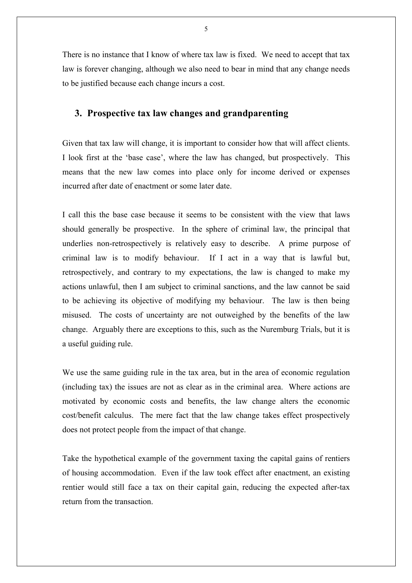There is no instance that I know of where tax law is fixed. We need to accept that tax law is forever changing, although we also need to bear in mind that any change needs to be justified because each change incurs a cost.

#### **3. Prospective tax law changes and grandparenting**

Given that tax law will change, it is important to consider how that will affect clients. I look first at the 'base case', where the law has changed, but prospectively. This means that the new law comes into place only for income derived or expenses incurred after date of enactment or some later date.

I call this the base case because it seems to be consistent with the view that laws should generally be prospective. In the sphere of criminal law, the principal that underlies non-retrospectively is relatively easy to describe. A prime purpose of criminal law is to modify behaviour. If I act in a way that is lawful but, retrospectively, and contrary to my expectations, the law is changed to make my actions unlawful, then I am subject to criminal sanctions, and the law cannot be said to be achieving its objective of modifying my behaviour. The law is then being misused. The costs of uncertainty are not outweighed by the benefits of the law change. Arguably there are exceptions to this, such as the Nuremburg Trials, but it is a useful guiding rule.

We use the same guiding rule in the tax area, but in the area of economic regulation (including tax) the issues are not as clear as in the criminal area. Where actions are motivated by economic costs and benefits, the law change alters the economic cost/benefit calculus. The mere fact that the law change takes effect prospectively does not protect people from the impact of that change.

Take the hypothetical example of the government taxing the capital gains of rentiers of housing accommodation. Even if the law took effect after enactment, an existing rentier would still face a tax on their capital gain, reducing the expected after-tax return from the transaction.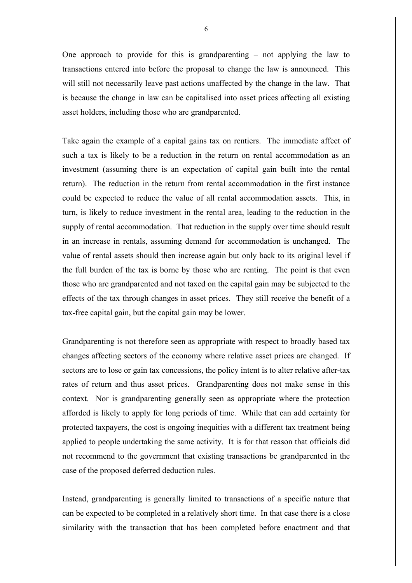One approach to provide for this is grandparenting – not applying the law to transactions entered into before the proposal to change the law is announced. This will still not necessarily leave past actions unaffected by the change in the law. That is because the change in law can be capitalised into asset prices affecting all existing asset holders, including those who are grandparented.

Take again the example of a capital gains tax on rentiers. The immediate affect of such a tax is likely to be a reduction in the return on rental accommodation as an investment (assuming there is an expectation of capital gain built into the rental return). The reduction in the return from rental accommodation in the first instance could be expected to reduce the value of all rental accommodation assets. This, in turn, is likely to reduce investment in the rental area, leading to the reduction in the supply of rental accommodation. That reduction in the supply over time should result in an increase in rentals, assuming demand for accommodation is unchanged. The value of rental assets should then increase again but only back to its original level if the full burden of the tax is borne by those who are renting. The point is that even those who are grandparented and not taxed on the capital gain may be subjected to the effects of the tax through changes in asset prices. They still receive the benefit of a tax-free capital gain, but the capital gain may be lower.

Grandparenting is not therefore seen as appropriate with respect to broadly based tax changes affecting sectors of the economy where relative asset prices are changed. If sectors are to lose or gain tax concessions, the policy intent is to alter relative after-tax rates of return and thus asset prices. Grandparenting does not make sense in this context. Nor is grandparenting generally seen as appropriate where the protection afforded is likely to apply for long periods of time. While that can add certainty for protected taxpayers, the cost is ongoing inequities with a different tax treatment being applied to people undertaking the same activity. It is for that reason that officials did not recommend to the government that existing transactions be grandparented in the case of the proposed deferred deduction rules.

Instead, grandparenting is generally limited to transactions of a specific nature that can be expected to be completed in a relatively short time. In that case there is a close similarity with the transaction that has been completed before enactment and that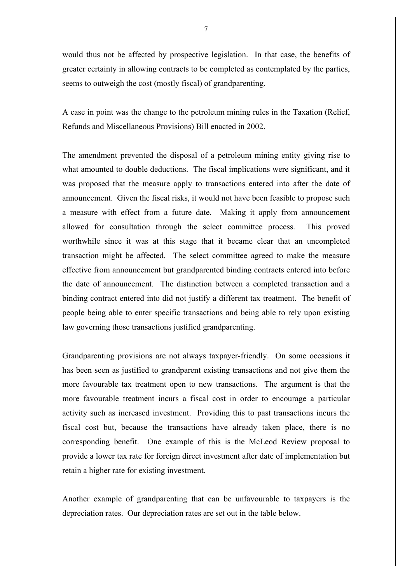would thus not be affected by prospective legislation. In that case, the benefits of greater certainty in allowing contracts to be completed as contemplated by the parties, seems to outweigh the cost (mostly fiscal) of grandparenting.

A case in point was the change to the petroleum mining rules in the Taxation (Relief, Refunds and Miscellaneous Provisions) Bill enacted in 2002.

The amendment prevented the disposal of a petroleum mining entity giving rise to what amounted to double deductions. The fiscal implications were significant, and it was proposed that the measure apply to transactions entered into after the date of announcement. Given the fiscal risks, it would not have been feasible to propose such a measure with effect from a future date. Making it apply from announcement allowed for consultation through the select committee process. This proved worthwhile since it was at this stage that it became clear that an uncompleted transaction might be affected. The select committee agreed to make the measure effective from announcement but grandparented binding contracts entered into before the date of announcement. The distinction between a completed transaction and a binding contract entered into did not justify a different tax treatment. The benefit of people being able to enter specific transactions and being able to rely upon existing law governing those transactions justified grandparenting.

Grandparenting provisions are not always taxpayer-friendly. On some occasions it has been seen as justified to grandparent existing transactions and not give them the more favourable tax treatment open to new transactions. The argument is that the more favourable treatment incurs a fiscal cost in order to encourage a particular activity such as increased investment. Providing this to past transactions incurs the fiscal cost but, because the transactions have already taken place, there is no corresponding benefit. One example of this is the McLeod Review proposal to provide a lower tax rate for foreign direct investment after date of implementation but retain a higher rate for existing investment.

Another example of grandparenting that can be unfavourable to taxpayers is the depreciation rates. Our depreciation rates are set out in the table below.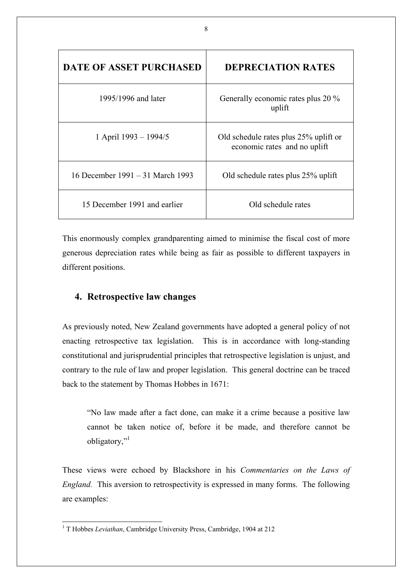| <b>DATE OF ASSET PURCHASED</b>   | <b>DEPRECIATION RATES</b>                                             |
|----------------------------------|-----------------------------------------------------------------------|
| 1995/1996 and later              | Generally economic rates plus 20 %<br>uplift                          |
| 1 April 1993 – 1994/5            | Old schedule rates plus 25% uplift or<br>economic rates and no uplift |
| 16 December 1991 – 31 March 1993 | Old schedule rates plus 25% uplift                                    |
| 15 December 1991 and earlier     | Old schedule rates                                                    |

This enormously complex grandparenting aimed to minimise the fiscal cost of more generous depreciation rates while being as fair as possible to different taxpayers in different positions.

## **4. Retrospective law changes**

As previously noted, New Zealand governments have adopted a general policy of not enacting retrospective tax legislation. This is in accordance with long-standing constitutional and jurisprudential principles that retrospective legislation is unjust, and contrary to the rule of law and proper legislation. This general doctrine can be traced back to the statement by Thomas Hobbes in 1671:

"No law made after a fact done, can make it a crime because a positive law cannot be taken notice of, before it be made, and therefore cannot be obligatory,"1

These views were echoed by Blackshore in his *Commentaries on the Laws of England.* This aversion to retrospectivity is expressed in many forms. The following are examples:

<sup>&</sup>lt;sup>1</sup> T Hobbes *Leviathan*, Cambridge University Press, Cambridge, 1904 at 212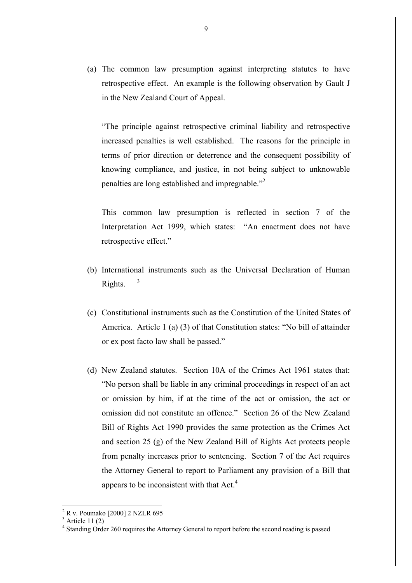(a) The common law presumption against interpreting statutes to have retrospective effect. An example is the following observation by Gault J in the New Zealand Court of Appeal.

"The principle against retrospective criminal liability and retrospective increased penalties is well established. The reasons for the principle in terms of prior direction or deterrence and the consequent possibility of knowing compliance, and justice, in not being subject to unknowable penalties are long established and impregnable."2

This common law presumption is reflected in section 7 of the Interpretation Act 1999, which states: "An enactment does not have retrospective effect."

- (b) International instruments such as the Universal Declaration of Human Rights.  $3^3$
- (c) Constitutional instruments such as the Constitution of the United States of America. Article 1 (a) (3) of that Constitution states: "No bill of attainder or ex post facto law shall be passed."
- (d) New Zealand statutes. Section 10A of the Crimes Act 1961 states that: "No person shall be liable in any criminal proceedings in respect of an act or omission by him, if at the time of the act or omission, the act or omission did not constitute an offence." Section 26 of the New Zealand Bill of Rights Act 1990 provides the same protection as the Crimes Act and section 25 (g) of the New Zealand Bill of Rights Act protects people from penalty increases prior to sentencing. Section 7 of the Act requires the Attorney General to report to Parliament any provision of a Bill that appears to be inconsistent with that  $Act<sup>4</sup>$ .

 $\overline{a}$ 

<sup>&</sup>lt;sup>2</sup> R v. Poumako [2000] 2 NZLR 695

 $3$  Article 11 $(2)$ 

<sup>&</sup>lt;sup>4</sup> Standing Order 260 requires the Attorney General to report before the second reading is passed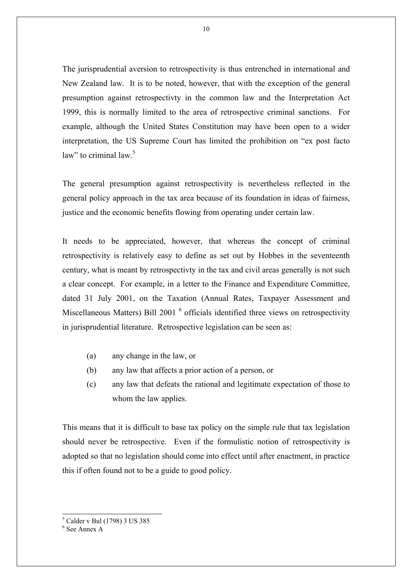The jurisprudential aversion to retrospectivity is thus entrenched in international and New Zealand law. It is to be noted, however, that with the exception of the general presumption against retrospectivty in the common law and the Interpretation Act 1999, this is normally limited to the area of retrospective criminal sanctions. For example, although the United States Constitution may have been open to a wider interpretation, the US Supreme Court has limited the prohibition on "ex post facto law" to criminal law. $5$ 

The general presumption against retrospectivity is nevertheless reflected in the general policy approach in the tax area because of its foundation in ideas of fairness, justice and the economic benefits flowing from operating under certain law.

It needs to be appreciated, however, that whereas the concept of criminal retrospectivity is relatively easy to define as set out by Hobbes in the seventeenth century, what is meant by retrospectivty in the tax and civil areas generally is not such a clear concept. For example, in a letter to the Finance and Expenditure Committee, dated 31 July 2001, on the Taxation (Annual Rates, Taxpayer Assessment and Miscellaneous Matters) Bill 2001<sup>6</sup> officials identified three views on retrospectivity in jurisprudential literature. Retrospective legislation can be seen as:

- (a) any change in the law, or
- (b) any law that affects a prior action of a person, or
- (c) any law that defeats the rational and legitimate expectation of those to whom the law applies.

This means that it is difficult to base tax policy on the simple rule that tax legislation should never be retrospective. Even if the formulistic notion of retrospectivity is adopted so that no legislation should come into effect until after enactment, in practice this if often found not to be a guide to good policy.

 5 Calder v Bul (1798) 3 US 385

<sup>6</sup> See Annex A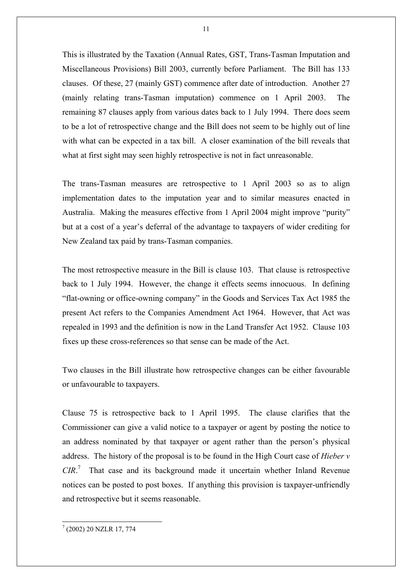This is illustrated by the Taxation (Annual Rates, GST, Trans-Tasman Imputation and Miscellaneous Provisions) Bill 2003, currently before Parliament. The Bill has 133 clauses. Of these, 27 (mainly GST) commence after date of introduction. Another 27 (mainly relating trans-Tasman imputation) commence on 1 April 2003. The remaining 87 clauses apply from various dates back to 1 July 1994. There does seem to be a lot of retrospective change and the Bill does not seem to be highly out of line with what can be expected in a tax bill. A closer examination of the bill reveals that what at first sight may seen highly retrospective is not in fact unreasonable.

The trans-Tasman measures are retrospective to 1 April 2003 so as to align implementation dates to the imputation year and to similar measures enacted in Australia. Making the measures effective from 1 April 2004 might improve "purity" but at a cost of a year's deferral of the advantage to taxpayers of wider crediting for New Zealand tax paid by trans-Tasman companies.

The most retrospective measure in the Bill is clause 103. That clause is retrospective back to 1 July 1994. However, the change it effects seems innocuous. In defining "flat-owning or office-owning company" in the Goods and Services Tax Act 1985 the present Act refers to the Companies Amendment Act 1964. However, that Act was repealed in 1993 and the definition is now in the Land Transfer Act 1952. Clause 103 fixes up these cross-references so that sense can be made of the Act.

Two clauses in the Bill illustrate how retrospective changes can be either favourable or unfavourable to taxpayers.

Clause 75 is retrospective back to 1 April 1995. The clause clarifies that the Commissioner can give a valid notice to a taxpayer or agent by posting the notice to an address nominated by that taxpayer or agent rather than the person's physical address. The history of the proposal is to be found in the High Court case of *Hieber v CIR*. 7 That case and its background made it uncertain whether Inland Revenue notices can be posted to post boxes. If anything this provision is taxpayer-unfriendly and retrospective but it seems reasonable.

 7 (2002) 20 NZLR 17, 774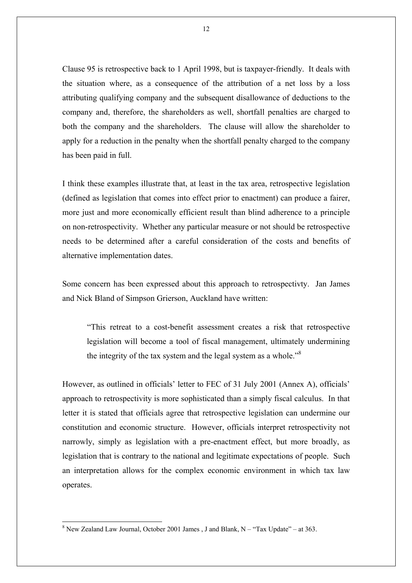Clause 95 is retrospective back to 1 April 1998, but is taxpayer-friendly. It deals with the situation where, as a consequence of the attribution of a net loss by a loss attributing qualifying company and the subsequent disallowance of deductions to the company and, therefore, the shareholders as well, shortfall penalties are charged to both the company and the shareholders. The clause will allow the shareholder to apply for a reduction in the penalty when the shortfall penalty charged to the company has been paid in full.

I think these examples illustrate that, at least in the tax area, retrospective legislation (defined as legislation that comes into effect prior to enactment) can produce a fairer, more just and more economically efficient result than blind adherence to a principle on non-retrospectivity. Whether any particular measure or not should be retrospective needs to be determined after a careful consideration of the costs and benefits of alternative implementation dates.

Some concern has been expressed about this approach to retrospectivty. Jan James and Nick Bland of Simpson Grierson, Auckland have written:

 "This retreat to a cost-benefit assessment creates a risk that retrospective legislation will become a tool of fiscal management, ultimately undermining the integrity of the tax system and the legal system as a whole.<sup>38</sup>

However, as outlined in officials' letter to FEC of 31 July 2001 (Annex A), officials' approach to retrospectivity is more sophisticated than a simply fiscal calculus. In that letter it is stated that officials agree that retrospective legislation can undermine our constitution and economic structure. However, officials interpret retrospectivity not narrowly, simply as legislation with a pre-enactment effect, but more broadly, as legislation that is contrary to the national and legitimate expectations of people. Such an interpretation allows for the complex economic environment in which tax law operates.

l

<sup>&</sup>lt;sup>8</sup> New Zealand Law Journal, October 2001 James, J and Blank,  $N - rT$ ax Update" – at 363.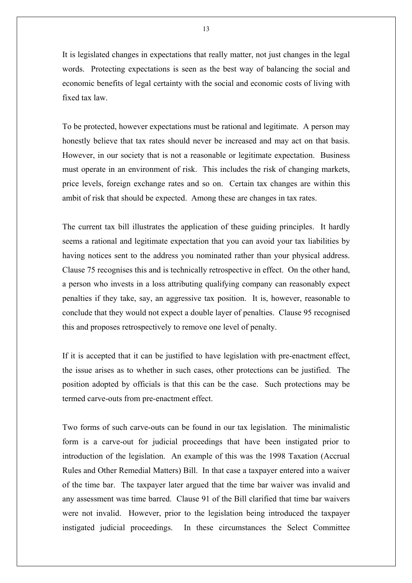It is legislated changes in expectations that really matter, not just changes in the legal words. Protecting expectations is seen as the best way of balancing the social and economic benefits of legal certainty with the social and economic costs of living with fixed tax law.

To be protected, however expectations must be rational and legitimate. A person may honestly believe that tax rates should never be increased and may act on that basis. However, in our society that is not a reasonable or legitimate expectation. Business must operate in an environment of risk. This includes the risk of changing markets, price levels, foreign exchange rates and so on. Certain tax changes are within this ambit of risk that should be expected. Among these are changes in tax rates.

The current tax bill illustrates the application of these guiding principles. It hardly seems a rational and legitimate expectation that you can avoid your tax liabilities by having notices sent to the address you nominated rather than your physical address. Clause 75 recognises this and is technically retrospective in effect. On the other hand, a person who invests in a loss attributing qualifying company can reasonably expect penalties if they take, say, an aggressive tax position. It is, however, reasonable to conclude that they would not expect a double layer of penalties. Clause 95 recognised this and proposes retrospectively to remove one level of penalty.

If it is accepted that it can be justified to have legislation with pre-enactment effect, the issue arises as to whether in such cases, other protections can be justified. The position adopted by officials is that this can be the case. Such protections may be termed carve-outs from pre-enactment effect.

Two forms of such carve-outs can be found in our tax legislation. The minimalistic form is a carve-out for judicial proceedings that have been instigated prior to introduction of the legislation. An example of this was the 1998 Taxation (Accrual Rules and Other Remedial Matters) Bill. In that case a taxpayer entered into a waiver of the time bar. The taxpayer later argued that the time bar waiver was invalid and any assessment was time barred. Clause 91 of the Bill clarified that time bar waivers were not invalid. However, prior to the legislation being introduced the taxpayer instigated judicial proceedings. In these circumstances the Select Committee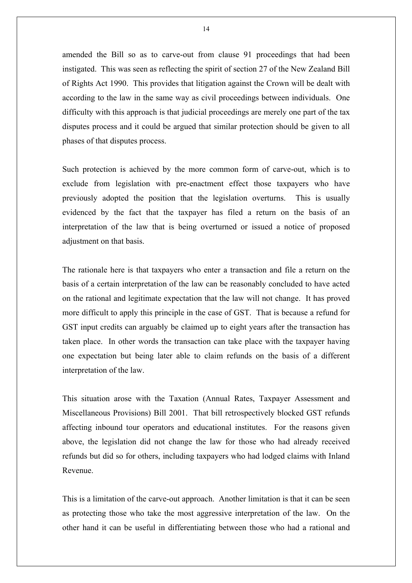amended the Bill so as to carve-out from clause 91 proceedings that had been instigated. This was seen as reflecting the spirit of section 27 of the New Zealand Bill of Rights Act 1990. This provides that litigation against the Crown will be dealt with according to the law in the same way as civil proceedings between individuals. One difficulty with this approach is that judicial proceedings are merely one part of the tax disputes process and it could be argued that similar protection should be given to all phases of that disputes process.

Such protection is achieved by the more common form of carve-out, which is to exclude from legislation with pre-enactment effect those taxpayers who have previously adopted the position that the legislation overturns. This is usually evidenced by the fact that the taxpayer has filed a return on the basis of an interpretation of the law that is being overturned or issued a notice of proposed adjustment on that basis.

The rationale here is that taxpayers who enter a transaction and file a return on the basis of a certain interpretation of the law can be reasonably concluded to have acted on the rational and legitimate expectation that the law will not change. It has proved more difficult to apply this principle in the case of GST. That is because a refund for GST input credits can arguably be claimed up to eight years after the transaction has taken place. In other words the transaction can take place with the taxpayer having one expectation but being later able to claim refunds on the basis of a different interpretation of the law.

This situation arose with the Taxation (Annual Rates, Taxpayer Assessment and Miscellaneous Provisions) Bill 2001. That bill retrospectively blocked GST refunds affecting inbound tour operators and educational institutes. For the reasons given above, the legislation did not change the law for those who had already received refunds but did so for others, including taxpayers who had lodged claims with Inland Revenue.

This is a limitation of the carve-out approach. Another limitation is that it can be seen as protecting those who take the most aggressive interpretation of the law. On the other hand it can be useful in differentiating between those who had a rational and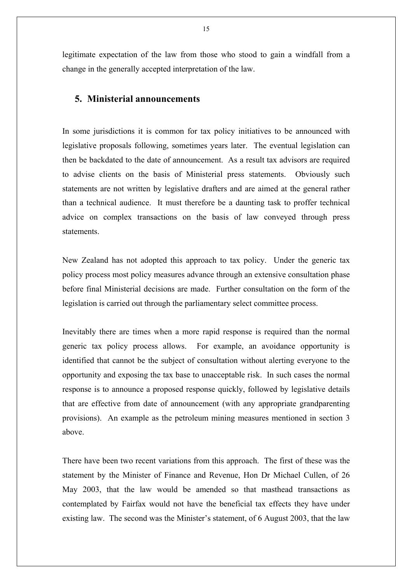legitimate expectation of the law from those who stood to gain a windfall from a change in the generally accepted interpretation of the law.

#### **5. Ministerial announcements**

In some jurisdictions it is common for tax policy initiatives to be announced with legislative proposals following, sometimes years later. The eventual legislation can then be backdated to the date of announcement. As a result tax advisors are required to advise clients on the basis of Ministerial press statements. Obviously such statements are not written by legislative drafters and are aimed at the general rather than a technical audience. It must therefore be a daunting task to proffer technical advice on complex transactions on the basis of law conveyed through press statements.

New Zealand has not adopted this approach to tax policy. Under the generic tax policy process most policy measures advance through an extensive consultation phase before final Ministerial decisions are made. Further consultation on the form of the legislation is carried out through the parliamentary select committee process.

Inevitably there are times when a more rapid response is required than the normal generic tax policy process allows. For example, an avoidance opportunity is identified that cannot be the subject of consultation without alerting everyone to the opportunity and exposing the tax base to unacceptable risk. In such cases the normal response is to announce a proposed response quickly, followed by legislative details that are effective from date of announcement (with any appropriate grandparenting provisions). An example as the petroleum mining measures mentioned in section 3 above.

There have been two recent variations from this approach. The first of these was the statement by the Minister of Finance and Revenue, Hon Dr Michael Cullen, of 26 May 2003, that the law would be amended so that masthead transactions as contemplated by Fairfax would not have the beneficial tax effects they have under existing law. The second was the Minister's statement, of 6 August 2003, that the law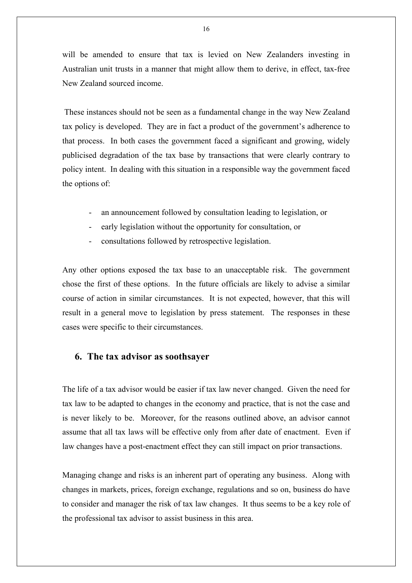will be amended to ensure that tax is levied on New Zealanders investing in Australian unit trusts in a manner that might allow them to derive, in effect, tax-free New Zealand sourced income.

 These instances should not be seen as a fundamental change in the way New Zealand tax policy is developed. They are in fact a product of the government's adherence to that process. In both cases the government faced a significant and growing, widely publicised degradation of the tax base by transactions that were clearly contrary to policy intent. In dealing with this situation in a responsible way the government faced the options of:

- an announcement followed by consultation leading to legislation, or
- early legislation without the opportunity for consultation, or
- consultations followed by retrospective legislation.

Any other options exposed the tax base to an unacceptable risk. The government chose the first of these options. In the future officials are likely to advise a similar course of action in similar circumstances. It is not expected, however, that this will result in a general move to legislation by press statement. The responses in these cases were specific to their circumstances.

#### **6. The tax advisor as soothsayer**

The life of a tax advisor would be easier if tax law never changed. Given the need for tax law to be adapted to changes in the economy and practice, that is not the case and is never likely to be. Moreover, for the reasons outlined above, an advisor cannot assume that all tax laws will be effective only from after date of enactment. Even if law changes have a post-enactment effect they can still impact on prior transactions.

Managing change and risks is an inherent part of operating any business. Along with changes in markets, prices, foreign exchange, regulations and so on, business do have to consider and manager the risk of tax law changes. It thus seems to be a key role of the professional tax advisor to assist business in this area.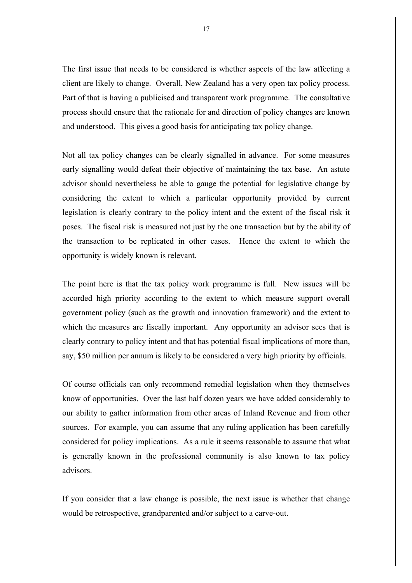The first issue that needs to be considered is whether aspects of the law affecting a client are likely to change. Overall, New Zealand has a very open tax policy process. Part of that is having a publicised and transparent work programme. The consultative process should ensure that the rationale for and direction of policy changes are known and understood. This gives a good basis for anticipating tax policy change.

Not all tax policy changes can be clearly signalled in advance. For some measures early signalling would defeat their objective of maintaining the tax base. An astute advisor should nevertheless be able to gauge the potential for legislative change by considering the extent to which a particular opportunity provided by current legislation is clearly contrary to the policy intent and the extent of the fiscal risk it poses. The fiscal risk is measured not just by the one transaction but by the ability of the transaction to be replicated in other cases. Hence the extent to which the opportunity is widely known is relevant.

The point here is that the tax policy work programme is full. New issues will be accorded high priority according to the extent to which measure support overall government policy (such as the growth and innovation framework) and the extent to which the measures are fiscally important. Any opportunity an advisor sees that is clearly contrary to policy intent and that has potential fiscal implications of more than, say, \$50 million per annum is likely to be considered a very high priority by officials.

Of course officials can only recommend remedial legislation when they themselves know of opportunities. Over the last half dozen years we have added considerably to our ability to gather information from other areas of Inland Revenue and from other sources. For example, you can assume that any ruling application has been carefully considered for policy implications. As a rule it seems reasonable to assume that what is generally known in the professional community is also known to tax policy advisors.

If you consider that a law change is possible, the next issue is whether that change would be retrospective, grandparented and/or subject to a carve-out.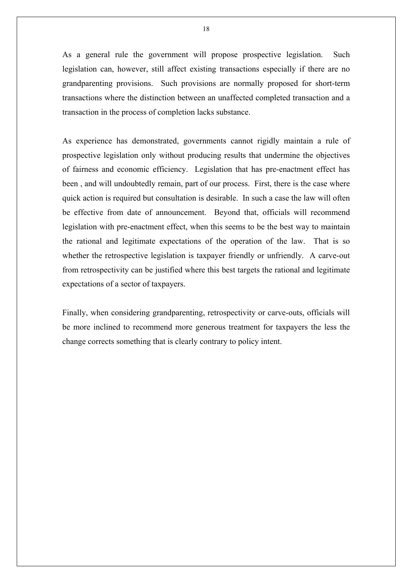As a general rule the government will propose prospective legislation. Such legislation can, however, still affect existing transactions especially if there are no grandparenting provisions. Such provisions are normally proposed for short-term transactions where the distinction between an unaffected completed transaction and a transaction in the process of completion lacks substance.

As experience has demonstrated, governments cannot rigidly maintain a rule of prospective legislation only without producing results that undermine the objectives of fairness and economic efficiency. Legislation that has pre-enactment effect has been , and will undoubtedly remain, part of our process. First, there is the case where quick action is required but consultation is desirable. In such a case the law will often be effective from date of announcement. Beyond that, officials will recommend legislation with pre-enactment effect, when this seems to be the best way to maintain the rational and legitimate expectations of the operation of the law. That is so whether the retrospective legislation is taxpayer friendly or unfriendly. A carve-out from retrospectivity can be justified where this best targets the rational and legitimate expectations of a sector of taxpayers.

Finally, when considering grandparenting, retrospectivity or carve-outs, officials will be more inclined to recommend more generous treatment for taxpayers the less the change corrects something that is clearly contrary to policy intent.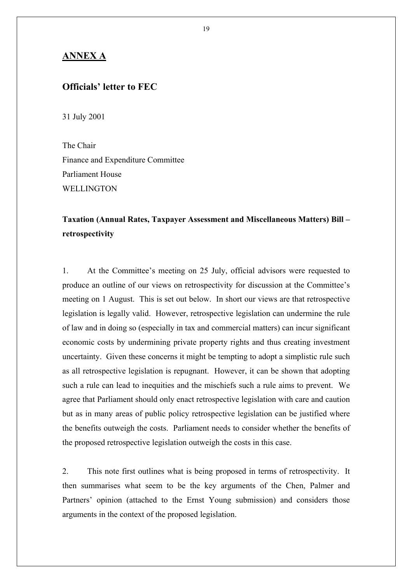### **ANNEX A**

#### **Officials' letter to FEC**

31 July 2001

The Chair Finance and Expenditure Committee Parliament House **WELLINGTON** 

## **Taxation (Annual Rates, Taxpayer Assessment and Miscellaneous Matters) Bill – retrospectivity**

1. At the Committee's meeting on 25 July, official advisors were requested to produce an outline of our views on retrospectivity for discussion at the Committee's meeting on 1 August. This is set out below. In short our views are that retrospective legislation is legally valid. However, retrospective legislation can undermine the rule of law and in doing so (especially in tax and commercial matters) can incur significant economic costs by undermining private property rights and thus creating investment uncertainty. Given these concerns it might be tempting to adopt a simplistic rule such as all retrospective legislation is repugnant. However, it can be shown that adopting such a rule can lead to inequities and the mischiefs such a rule aims to prevent. We agree that Parliament should only enact retrospective legislation with care and caution but as in many areas of public policy retrospective legislation can be justified where the benefits outweigh the costs. Parliament needs to consider whether the benefits of the proposed retrospective legislation outweigh the costs in this case.

2. This note first outlines what is being proposed in terms of retrospectivity. It then summarises what seem to be the key arguments of the Chen, Palmer and Partners' opinion (attached to the Ernst Young submission) and considers those arguments in the context of the proposed legislation.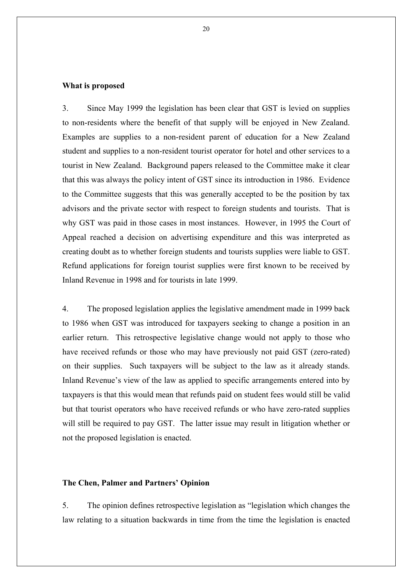#### **What is proposed**

3. Since May 1999 the legislation has been clear that GST is levied on supplies to non-residents where the benefit of that supply will be enjoyed in New Zealand. Examples are supplies to a non-resident parent of education for a New Zealand student and supplies to a non-resident tourist operator for hotel and other services to a tourist in New Zealand. Background papers released to the Committee make it clear that this was always the policy intent of GST since its introduction in 1986. Evidence to the Committee suggests that this was generally accepted to be the position by tax advisors and the private sector with respect to foreign students and tourists. That is why GST was paid in those cases in most instances. However, in 1995 the Court of Appeal reached a decision on advertising expenditure and this was interpreted as creating doubt as to whether foreign students and tourists supplies were liable to GST. Refund applications for foreign tourist supplies were first known to be received by Inland Revenue in 1998 and for tourists in late 1999.

4. The proposed legislation applies the legislative amendment made in 1999 back to 1986 when GST was introduced for taxpayers seeking to change a position in an earlier return. This retrospective legislative change would not apply to those who have received refunds or those who may have previously not paid GST (zero-rated) on their supplies. Such taxpayers will be subject to the law as it already stands. Inland Revenue's view of the law as applied to specific arrangements entered into by taxpayers is that this would mean that refunds paid on student fees would still be valid but that tourist operators who have received refunds or who have zero-rated supplies will still be required to pay GST. The latter issue may result in litigation whether or not the proposed legislation is enacted.

#### **The Chen, Palmer and Partners' Opinion**

5. The opinion defines retrospective legislation as "legislation which changes the law relating to a situation backwards in time from the time the legislation is enacted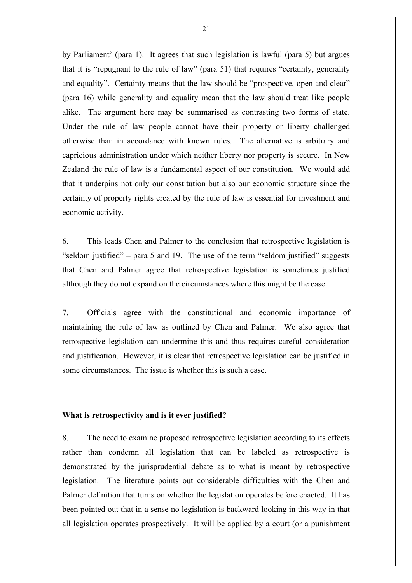by Parliament' (para 1). It agrees that such legislation is lawful (para 5) but argues that it is "repugnant to the rule of law" (para 51) that requires "certainty, generality and equality". Certainty means that the law should be "prospective, open and clear" (para 16) while generality and equality mean that the law should treat like people alike. The argument here may be summarised as contrasting two forms of state. Under the rule of law people cannot have their property or liberty challenged otherwise than in accordance with known rules. The alternative is arbitrary and capricious administration under which neither liberty nor property is secure. In New Zealand the rule of law is a fundamental aspect of our constitution. We would add that it underpins not only our constitution but also our economic structure since the certainty of property rights created by the rule of law is essential for investment and economic activity.

6. This leads Chen and Palmer to the conclusion that retrospective legislation is "seldom justified" – para 5 and 19. The use of the term "seldom justified" suggests that Chen and Palmer agree that retrospective legislation is sometimes justified although they do not expand on the circumstances where this might be the case.

7. Officials agree with the constitutional and economic importance of maintaining the rule of law as outlined by Chen and Palmer. We also agree that retrospective legislation can undermine this and thus requires careful consideration and justification. However, it is clear that retrospective legislation can be justified in some circumstances. The issue is whether this is such a case.

#### **What is retrospectivity and is it ever justified?**

8. The need to examine proposed retrospective legislation according to its effects rather than condemn all legislation that can be labeled as retrospective is demonstrated by the jurisprudential debate as to what is meant by retrospective legislation. The literature points out considerable difficulties with the Chen and Palmer definition that turns on whether the legislation operates before enacted. It has been pointed out that in a sense no legislation is backward looking in this way in that all legislation operates prospectively. It will be applied by a court (or a punishment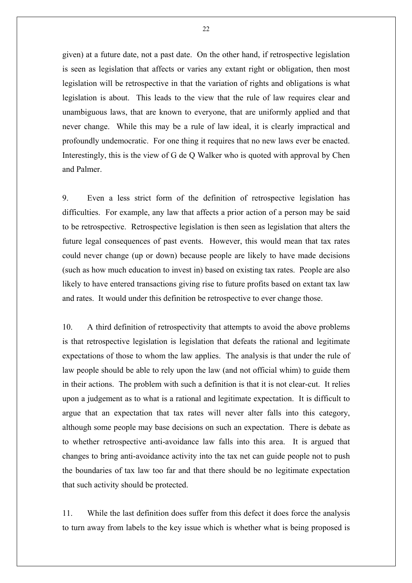given) at a future date, not a past date. On the other hand, if retrospective legislation is seen as legislation that affects or varies any extant right or obligation, then most legislation will be retrospective in that the variation of rights and obligations is what legislation is about. This leads to the view that the rule of law requires clear and unambiguous laws, that are known to everyone, that are uniformly applied and that never change. While this may be a rule of law ideal, it is clearly impractical and profoundly undemocratic. For one thing it requires that no new laws ever be enacted. Interestingly, this is the view of G de Q Walker who is quoted with approval by Chen and Palmer.

9. Even a less strict form of the definition of retrospective legislation has difficulties. For example, any law that affects a prior action of a person may be said to be retrospective. Retrospective legislation is then seen as legislation that alters the future legal consequences of past events. However, this would mean that tax rates could never change (up or down) because people are likely to have made decisions (such as how much education to invest in) based on existing tax rates. People are also likely to have entered transactions giving rise to future profits based on extant tax law and rates. It would under this definition be retrospective to ever change those.

10. A third definition of retrospectivity that attempts to avoid the above problems is that retrospective legislation is legislation that defeats the rational and legitimate expectations of those to whom the law applies. The analysis is that under the rule of law people should be able to rely upon the law (and not official whim) to guide them in their actions. The problem with such a definition is that it is not clear-cut. It relies upon a judgement as to what is a rational and legitimate expectation. It is difficult to argue that an expectation that tax rates will never alter falls into this category, although some people may base decisions on such an expectation. There is debate as to whether retrospective anti-avoidance law falls into this area. It is argued that changes to bring anti-avoidance activity into the tax net can guide people not to push the boundaries of tax law too far and that there should be no legitimate expectation that such activity should be protected.

11. While the last definition does suffer from this defect it does force the analysis to turn away from labels to the key issue which is whether what is being proposed is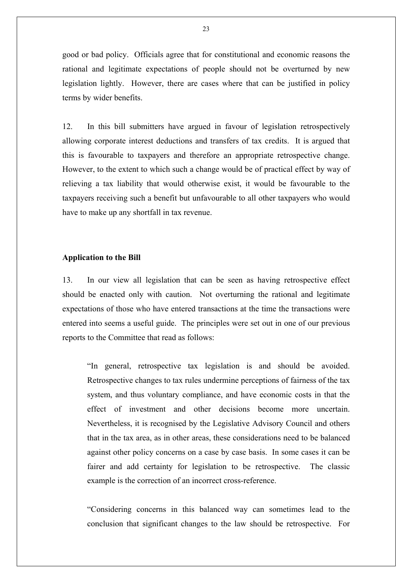good or bad policy. Officials agree that for constitutional and economic reasons the rational and legitimate expectations of people should not be overturned by new legislation lightly. However, there are cases where that can be justified in policy terms by wider benefits.

12. In this bill submitters have argued in favour of legislation retrospectively allowing corporate interest deductions and transfers of tax credits. It is argued that this is favourable to taxpayers and therefore an appropriate retrospective change. However, to the extent to which such a change would be of practical effect by way of relieving a tax liability that would otherwise exist, it would be favourable to the taxpayers receiving such a benefit but unfavourable to all other taxpayers who would have to make up any shortfall in tax revenue.

#### **Application to the Bill**

13. In our view all legislation that can be seen as having retrospective effect should be enacted only with caution. Not overturning the rational and legitimate expectations of those who have entered transactions at the time the transactions were entered into seems a useful guide. The principles were set out in one of our previous reports to the Committee that read as follows:

"In general, retrospective tax legislation is and should be avoided. Retrospective changes to tax rules undermine perceptions of fairness of the tax system, and thus voluntary compliance, and have economic costs in that the effect of investment and other decisions become more uncertain. Nevertheless, it is recognised by the Legislative Advisory Council and others that in the tax area, as in other areas, these considerations need to be balanced against other policy concerns on a case by case basis. In some cases it can be fairer and add certainty for legislation to be retrospective. The classic example is the correction of an incorrect cross-reference.

"Considering concerns in this balanced way can sometimes lead to the conclusion that significant changes to the law should be retrospective. For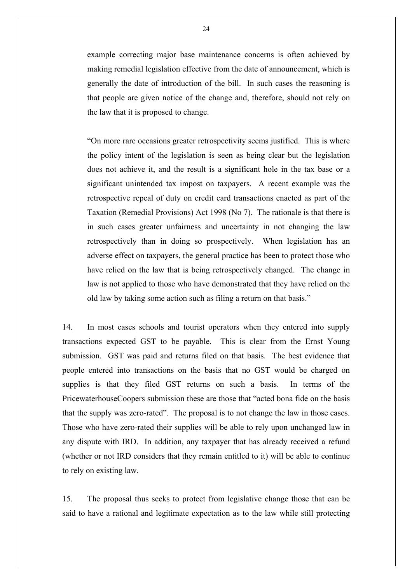example correcting major base maintenance concerns is often achieved by making remedial legislation effective from the date of announcement, which is generally the date of introduction of the bill. In such cases the reasoning is that people are given notice of the change and, therefore, should not rely on the law that it is proposed to change.

"On more rare occasions greater retrospectivity seems justified. This is where the policy intent of the legislation is seen as being clear but the legislation does not achieve it, and the result is a significant hole in the tax base or a significant unintended tax impost on taxpayers. A recent example was the retrospective repeal of duty on credit card transactions enacted as part of the Taxation (Remedial Provisions) Act 1998 (No 7). The rationale is that there is in such cases greater unfairness and uncertainty in not changing the law retrospectively than in doing so prospectively. When legislation has an adverse effect on taxpayers, the general practice has been to protect those who have relied on the law that is being retrospectively changed. The change in law is not applied to those who have demonstrated that they have relied on the old law by taking some action such as filing a return on that basis."

14. In most cases schools and tourist operators when they entered into supply transactions expected GST to be payable. This is clear from the Ernst Young submission. GST was paid and returns filed on that basis. The best evidence that people entered into transactions on the basis that no GST would be charged on supplies is that they filed GST returns on such a basis. In terms of the PricewaterhouseCoopers submission these are those that "acted bona fide on the basis that the supply was zero-rated". The proposal is to not change the law in those cases. Those who have zero-rated their supplies will be able to rely upon unchanged law in any dispute with IRD. In addition, any taxpayer that has already received a refund (whether or not IRD considers that they remain entitled to it) will be able to continue to rely on existing law.

15. The proposal thus seeks to protect from legislative change those that can be said to have a rational and legitimate expectation as to the law while still protecting